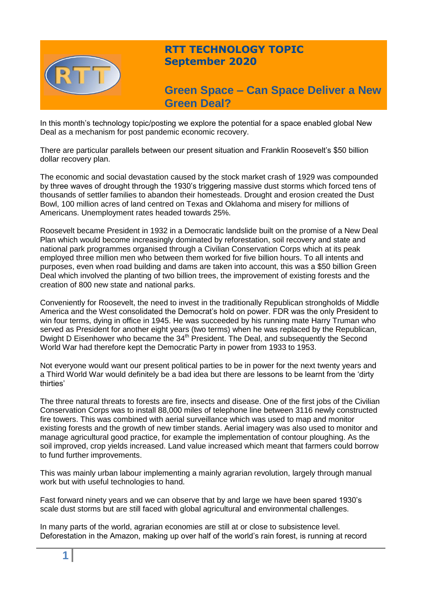

## **RTT TECHNOLOGY TOPIC September 2020**

# **Green Space – Can Space Deliver a New Green Deal?**

In this month's technology topic/posting we explore the potential for a space enabled global New Deal as a mechanism for post pandemic economic recovery.

There are particular parallels between our present situation and Franklin Roosevelt's \$50 billion dollar recovery plan.

The economic and social devastation caused by the stock market crash of 1929 was compounded by three waves of drought through the 1930's triggering massive dust storms which forced tens of thousands of settler families to abandon their homesteads. Drought and erosion created the Dust Bowl, 100 million acres of land centred on Texas and Oklahoma and misery for millions of Americans. Unemployment rates headed towards 25%.

Roosevelt became President in 1932 in a Democratic landslide built on the promise of a New Deal Plan which would become increasingly dominated by reforestation, soil recovery and state and national park programmes organised through a Civilian Conservation Corps which at its peak employed three million men who between them worked for five billion hours. To all intents and purposes, even when road building and dams are taken into account, this was a \$50 billion Green Deal which involved the planting of two billion trees, the improvement of existing forests and the creation of 800 new state and national parks.

Conveniently for Roosevelt, the need to invest in the traditionally Republican strongholds of Middle America and the West consolidated the Democrat's hold on power. FDR was the only President to win four terms, dying in office in 1945. He was succeeded by his running mate Harry Truman who served as President for another eight years (two terms) when he was replaced by the Republican, Dwight D Eisenhower who became the 34<sup>th</sup> President. The Deal, and subsequently the Second World War had therefore kept the Democratic Party in power from 1933 to 1953.

Not everyone would want our present political parties to be in power for the next twenty years and a Third World War would definitely be a bad idea but there are lessons to be learnt from the 'dirty thirties'

The three natural threats to forests are fire, insects and disease. One of the first jobs of the Civilian Conservation Corps was to install 88,000 miles of telephone line between 3116 newly constructed fire towers. This was combined with aerial surveillance which was used to map and monitor existing forests and the growth of new timber stands. Aerial imagery was also used to monitor and manage agricultural good practice, for example the implementation of contour ploughing. As the soil improved, crop yields increased. Land value increased which meant that farmers could borrow to fund further improvements.

This was mainly urban labour implementing a mainly agrarian revolution, largely through manual work but with useful technologies to hand.

Fast forward ninety years and we can observe that by and large we have been spared 1930's scale dust storms but are still faced with global agricultural and environmental challenges.

In many parts of the world, agrarian economies are still at or close to subsistence level. Deforestation in the Amazon, making up over half of the world's rain forest, is running at record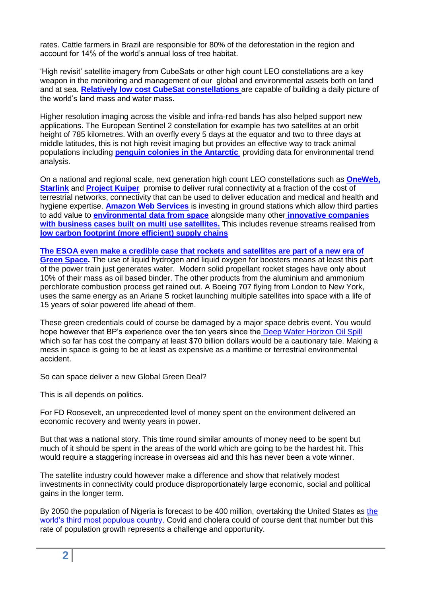rates. Cattle farmers in Brazil are responsible for 80% of the deforestation in the region and account for 14% of the world's annual loss of tree habitat.

'High revisit' satellite imagery from CubeSats or other high count LEO constellations are a key weapon in the monitoring and management of our global and environmental assets both on land and at sea. **[Relatively low cost CubeSat constellations](https://www.planet.com/)** are capable of building a daily picture of the world's land mass and water mass.

Higher resolution imaging across the visible and infra-red bands has also helped support new applications. The European Sentinel 2 constellation for example has two satellites at an orbit height of 785 kilometres. With an overfly every 5 days at the equator and two to three days at middle latitudes, this is not high revisit imaging but provides an effective way to track animal populations including **[penguin colonies in the Antarctic](https://eos.com/sentinel-2/)** providing data for environmental trend analysis.

On a national and regional scale, next generation high count LEO constellations such as **[OneWeb,](https://www.oneweb.world/) [Starlink](https://www.starlink.com/)** and **[Project Kuiper](https://www.amazon.jobs/en/teams/projectkuiper)** promise to deliver rural connectivity at a fraction of the cost of terrestrial networks, connectivity that can be used to deliver education and medical and health and hygiene expertise. **[Amazon Web Services](https://blog.aboutamazon.com/innovation/amazon-web-services-unveils-new-space-business-segment)** is investing in ground stations which allow third parties to add value to **[environmental data from space](https://orbitalinsight.com/)** alongside many other **[innovative companies](https://spire.com/spirepedia/low-earth-multi-use-receiver/)  [with business cases built on multi use satellites.](https://spire.com/spirepedia/low-earth-multi-use-receiver/)** This includes revenue streams realised fro[m](https://spire.com/blog/data/three-steps-of-going-green-how-data-is-the-crucial-ingredient/) **[low carbon footprint \(more efficient\) supply chains](https://spire.com/blog/data/three-steps-of-going-green-how-data-is-the-crucial-ingredient/)**

**[The ESOA even make a credible case that rockets and satellites are part of a new era of](https://www.esoa.net/technology/green-satellites.asp)  [Green Space.](https://www.esoa.net/technology/green-satellites.asp)** The use of liquid hydrogen and liquid oxygen for boosters means at least this part of the power train just generates water. Modern solid propellant rocket stages have only about 10% of their mass as oil based binder. The other products from the aluminium and ammonium perchlorate combustion process get rained out. A Boeing 707 flying from London to New York, uses the same energy as an Ariane 5 rocket launching multiple satellites into space with a life of 15 years of solar powered life ahead of them.

These green credentials could of course be damaged by a major space debris event. You would hope however that BP's experience over the ten years since the Deep Water Horizon Oil Spill which so far has cost the company at least \$70 billion dollars would be a cautionary tale. Making a mess in space is going to be at least as expensive as a maritime or terrestrial environmental accident.

So can space deliver a new Global Green Deal?

This is all depends on politics.

For FD Roosevelt, an unprecedented level of money spent on the environment delivered an economic recovery and twenty years in power.

But that was a national story. This time round similar amounts of money need to be spent but much of it should be spent in the areas of the world which are going to be the hardest hit. This would require a staggering increase in overseas aid and this has never been a vote winner.

The satellite industry could however make a difference and show that relatively modest investments in connectivity could produce disproportionately large economic, social and political gains in the longer term.

By 2050 the population of Nigeria is forecast to be 400 million, overtaking the United States as [the](https://www.economist.com/special-report/2020/03/26/africas-population-will-double-by-2050)  [world's third most populous country.](https://www.economist.com/special-report/2020/03/26/africas-population-will-double-by-2050) Covid and cholera could of course dent that number but this rate of population growth represents a challenge and opportunity.